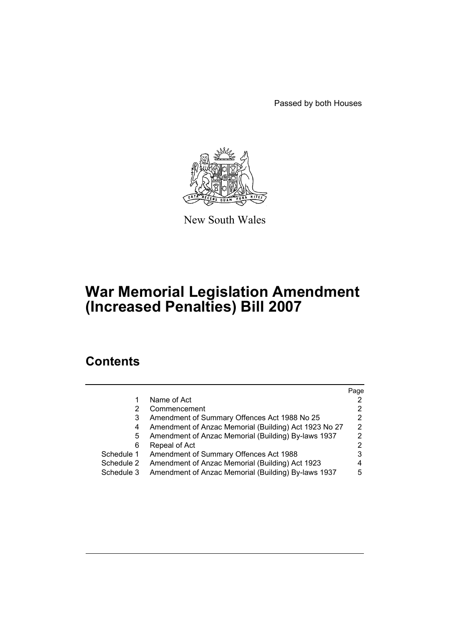Passed by both Houses



New South Wales

# **War Memorial Legislation Amendment (Increased Penalties) Bill 2007**

## **Contents**

|            |                                                       | Page |
|------------|-------------------------------------------------------|------|
|            | Name of Act                                           |      |
| 2          | Commencement                                          |      |
| 3          | Amendment of Summary Offences Act 1988 No 25          | 2    |
| 4          | Amendment of Anzac Memorial (Building) Act 1923 No 27 | 2    |
| 5          | Amendment of Anzac Memorial (Building) By-laws 1937   | 2    |
| 6          | Repeal of Act                                         | 2    |
| Schedule 1 | Amendment of Summary Offences Act 1988                | 3    |
| Schedule 2 | Amendment of Anzac Memorial (Building) Act 1923       | 4    |
| Schedule 3 | Amendment of Anzac Memorial (Building) By-laws 1937   | 5    |
|            |                                                       |      |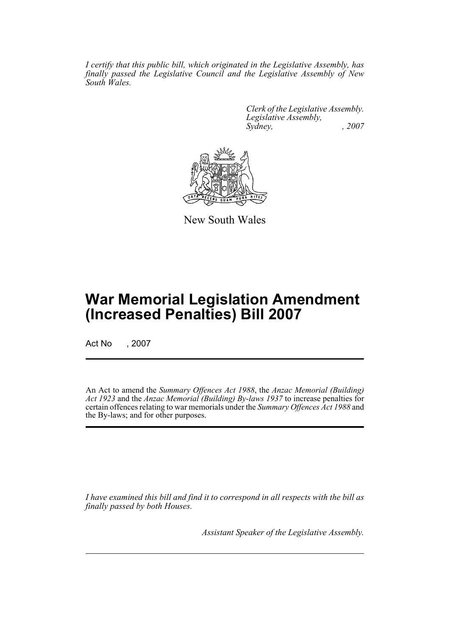*I certify that this public bill, which originated in the Legislative Assembly, has finally passed the Legislative Council and the Legislative Assembly of New South Wales.*

> *Clerk of the Legislative Assembly. Legislative Assembly, Sydney, , 2007*



New South Wales

## **War Memorial Legislation Amendment (Increased Penalties) Bill 2007**

Act No , 2007

An Act to amend the *Summary Offences Act 1988*, the *Anzac Memorial (Building) Act 1923* and the *Anzac Memorial (Building) By-laws 1937* to increase penalties for certain offences relating to war memorials under the *Summary Offences Act 1988* and the By-laws; and for other purposes.

*I have examined this bill and find it to correspond in all respects with the bill as finally passed by both Houses.*

*Assistant Speaker of the Legislative Assembly.*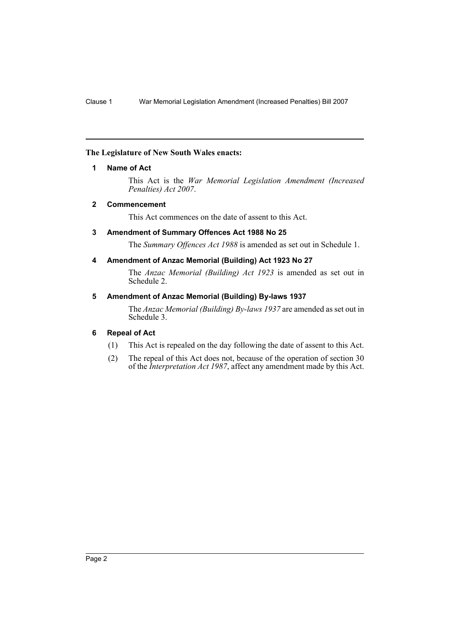### <span id="page-2-0"></span>**The Legislature of New South Wales enacts:**

### **1 Name of Act**

This Act is the *War Memorial Legislation Amendment (Increased Penalties) Act 2007*.

### <span id="page-2-1"></span>**2 Commencement**

This Act commences on the date of assent to this Act.

### <span id="page-2-2"></span>**3 Amendment of Summary Offences Act 1988 No 25**

The *Summary Offences Act 1988* is amended as set out in Schedule 1.

### <span id="page-2-3"></span>**4 Amendment of Anzac Memorial (Building) Act 1923 No 27**

The *Anzac Memorial (Building) Act 1923* is amended as set out in Schedule 2.

### <span id="page-2-4"></span>**5 Amendment of Anzac Memorial (Building) By-laws 1937**

The *Anzac Memorial (Building) By-laws 1937* are amended as set out in Schedule 3.

### <span id="page-2-5"></span>**6 Repeal of Act**

- (1) This Act is repealed on the day following the date of assent to this Act.
- (2) The repeal of this Act does not, because of the operation of section 30 of the *Interpretation Act 1987*, affect any amendment made by this Act.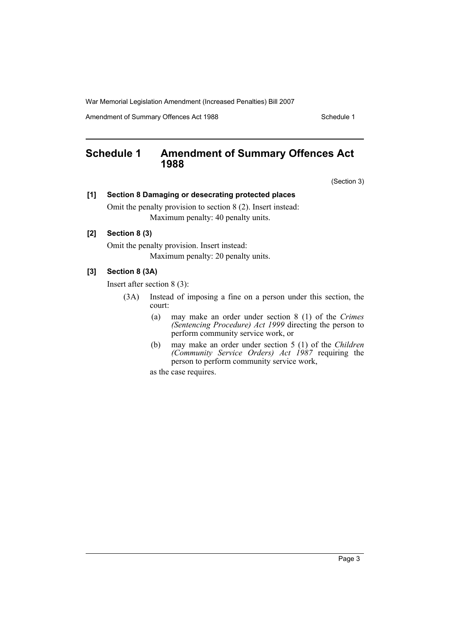War Memorial Legislation Amendment (Increased Penalties) Bill 2007

Amendment of Summary Offences Act 1988 Schedule 1

### <span id="page-3-0"></span>**Schedule 1 Amendment of Summary Offences Act 1988**

(Section 3)

#### **[1] Section 8 Damaging or desecrating protected places**

Omit the penalty provision to section 8 (2). Insert instead: Maximum penalty: 40 penalty units.

### **[2] Section 8 (3)**

Omit the penalty provision. Insert instead: Maximum penalty: 20 penalty units.

### **[3] Section 8 (3A)**

Insert after section 8 (3):

- (3A) Instead of imposing a fine on a person under this section, the court:
	- (a) may make an order under section 8 (1) of the *Crimes (Sentencing Procedure) Act 1999* directing the person to perform community service work, or
	- (b) may make an order under section 5 (1) of the *Children (Community Service Orders) Act 1987* requiring the person to perform community service work,

as the case requires.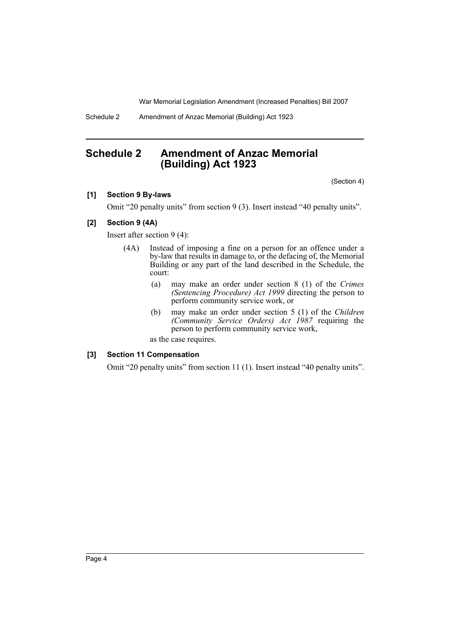War Memorial Legislation Amendment (Increased Penalties) Bill 2007

Schedule 2 Amendment of Anzac Memorial (Building) Act 1923

### <span id="page-4-0"></span>**Schedule 2 Amendment of Anzac Memorial (Building) Act 1923**

(Section 4)

### **[1] Section 9 By-laws**

Omit "20 penalty units" from section 9 (3). Insert instead "40 penalty units".

### **[2] Section 9 (4A)**

Insert after section 9 (4):

- (4A) Instead of imposing a fine on a person for an offence under a by-law that results in damage to, or the defacing of, the Memorial Building or any part of the land described in the Schedule, the court:
	- (a) may make an order under section 8 (1) of the *Crimes (Sentencing Procedure) Act 1999* directing the person to perform community service work, or
	- (b) may make an order under section 5 (1) of the *Children (Community Service Orders) Act 1987* requiring the person to perform community service work,

as the case requires.

#### **[3] Section 11 Compensation**

Omit "20 penalty units" from section 11 (1). Insert instead "40 penalty units".